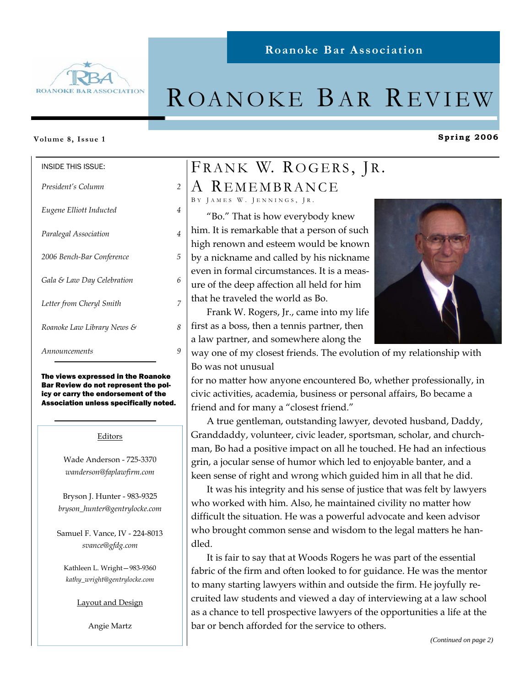

# ROANOKE BAR REVIEW

**Roanoke Bar Association** 

#### **Volume 8, Issue 1**

| <b>INSIDE THIS ISSUE:</b>  |               |
|----------------------------|---------------|
| President's Column         | $\mathcal{P}$ |
| Eugene Elliott Inducted    | 4             |
| Paralegal Association      | 4             |
| 2006 Bench-Bar Conference  | 5             |
| Gala & Law Day Celebration | 6             |
| Letter from Cheryl Smith   | 7             |
| Roanoke Law Library News & | 8             |
| Announcements              |               |

The views expressed in the Roanoke Bar Review do not represent the policy or carry the endorsement of the Association unless specifically noted.

#### Editors

Wade Anderson - 725-3370 *wanderson@faplawfirm.com* 

Bryson J. Hunter - 983-9325 *bryson\_hunter@gentrylocke.com* 

Samuel F. Vance, IV - 224-8013 *svance@gfdg.com* 

Kathleen L. Wright—983-9360 *kathy\_wright@gentrylocke.com* 

#### Layout and Design

Angie Martz

# FRANK W. ROGERS, JR.

A REMEMBRANCE

BY JAMES W. JENNINGS, JR.

 "Bo." That is how everybody knew him. It is remarkable that a person of such high renown and esteem would be known by a nickname and called by his nickname even in formal circumstances. It is a measure of the deep affection all held for him that he traveled the world as Bo.

 Frank W. Rogers, Jr., came into my life first as a boss, then a tennis partner, then a law partner, and somewhere along the



**Spring 2006** 

way one of my closest friends. The evolution of my relationship with Bo was not unusual

for no matter how anyone encountered Bo, whether professionally, in civic activities, academia, business or personal affairs, Bo became a friend and for many a "closest friend."

 A true gentleman, outstanding lawyer, devoted husband, Daddy, Granddaddy, volunteer, civic leader, sportsman, scholar, and churchman, Bo had a positive impact on all he touched. He had an infectious grin, a jocular sense of humor which led to enjoyable banter, and a keen sense of right and wrong which guided him in all that he did.

 It was his integrity and his sense of justice that was felt by lawyers who worked with him. Also, he maintained civility no matter how difficult the situation. He was a powerful advocate and keen advisor who brought common sense and wisdom to the legal matters he handled.

 It is fair to say that at Woods Rogers he was part of the essential fabric of the firm and often looked to for guidance. He was the mentor to many starting lawyers within and outside the firm. He joyfully recruited law students and viewed a day of interviewing at a law school as a chance to tell prospective lawyers of the opportunities a life at the bar or bench afforded for the service to others.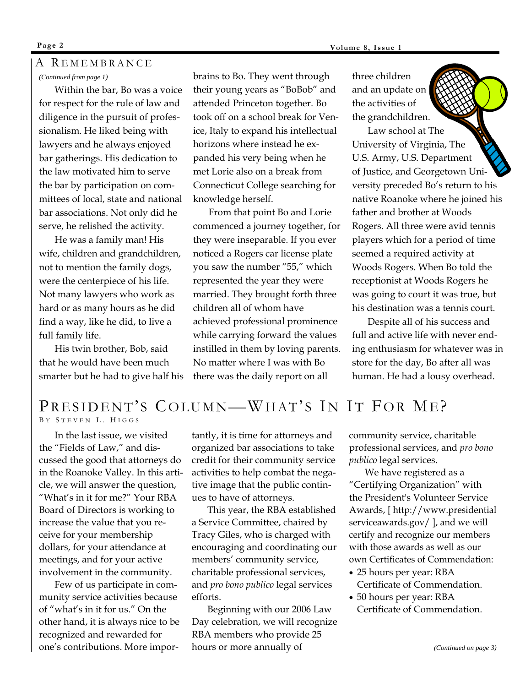### *(Continued from page 1)*  A R EMEMBRANCE

 Within the bar, Bo was a voice for respect for the rule of law and diligence in the pursuit of professionalism. He liked being with lawyers and he always enjoyed bar gatherings. His dedication to the law motivated him to serve the bar by participation on committees of local, state and national bar associations. Not only did he serve, he relished the activity.

 He was a family man! His wife, children and grandchildren, not to mention the family dogs, were the centerpiece of his life. Not many lawyers who work as hard or as many hours as he did find a way, like he did, to live a full family life.

 His twin brother, Bob, said that he would have been much smarter but he had to give half his brains to Bo. They went through their young years as "BoBob" and attended Princeton together. Bo took off on a school break for Venice, Italy to expand his intellectual horizons where instead he expanded his very being when he met Lorie also on a break from Connecticut College searching for knowledge herself.

 From that point Bo and Lorie commenced a journey together, for they were inseparable. If you ever noticed a Rogers car license plate you saw the number "55," which represented the year they were married. They brought forth three children all of whom have achieved professional prominence while carrying forward the values instilled in them by loving parents. No matter where I was with Bo there was the daily report on all

three children and an update on the activities of the grandchildren.

 Law school at The University of Virginia, The U.S. Army, U.S. Department of Justice, and Georgetown University preceded Bo's return to his native Roanoke where he joined his father and brother at Woods Rogers. All three were avid tennis players which for a period of time seemed a required activity at Woods Rogers. When Bo told the receptionist at Woods Rogers he was going to court it was true, but his destination was a tennis court.

 Despite all of his success and full and active life with never ending enthusiasm for whatever was in store for the day, Bo after all was human. He had a lousy overhead.

### PRESIDENT'S COLUMN—WHAT'S IN IT FOR MEP BY STEVEN L. HIGGS

 In the last issue, we visited the "Fields of Law," and discussed the good that attorneys do in the Roanoke Valley. In this article, we will answer the question, "What's in it for me?" Your RBA Board of Directors is working to increase the value that you receive for your membership dollars, for your attendance at meetings, and for your active involvement in the community.

 Few of us participate in community service activities because of "what's in it for us." On the other hand, it is always nice to be recognized and rewarded for one's contributions. More importantly, it is time for attorneys and organized bar associations to take credit for their community service activities to help combat the negative image that the public continues to have of attorneys.

 This year, the RBA established a Service Committee, chaired by Tracy Giles, who is charged with encouraging and coordinating our members' community service, charitable professional services, and *pro bono publico* legal services efforts.

 Beginning with our 2006 Law Day celebration, we will recognize RBA members who provide 25 hours or more annually of

community service, charitable professional services, and *pro bono publico* legal services.

We have registered as a "Certifying Organization" with the President's Volunteer Service Awards, [ http://www.presidential serviceawards.gov/ ], and we will certify and recognize our members with those awards as well as our own Certificates of Commendation:

- 25 hours per year: RBA Certificate of Commendation.
- 50 hours per year: RBA Certificate of Commendation.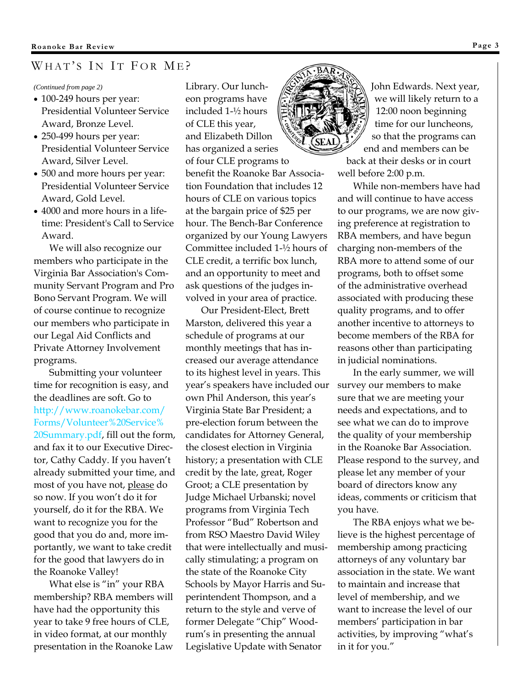### WHAT'S IN IT FOR ME?

#### *(Continued from page 2)*

- 100-249 hours per year: Presidential Volunteer Service Award, Bronze Level.
- 250-499 hours per year: Presidential Volunteer Service Award, Silver Level.
- 500 and more hours per year: Presidential Volunteer Service Award, Gold Level.
- 4000 and more hours in a lifetime: President's Call to Service Award.

 We will also recognize our members who participate in the Virginia Bar Association's Community Servant Program and Pro Bono Servant Program. We will of course continue to recognize our members who participate in our Legal Aid Conflicts and Private Attorney Involvement programs.

 Submitting your volunteer time for recognition is easy, and the deadlines are soft. Go to http://www.roanokebar.com/ Forms/Volunteer%20Service% 20Summary.pdf, fill out the form, and fax it to our Executive Director, Cathy Caddy. If you haven't already submitted your time, and most of you have not, please do so now. If you won't do it for yourself, do it for the RBA. We want to recognize you for the good that you do and, more importantly, we want to take credit for the good that lawyers do in the Roanoke Valley!

 What else is "in" your RBA membership? RBA members will have had the opportunity this year to take 9 free hours of CLE, in video format, at our monthly presentation in the Roanoke Law

Library. Our luncheon programs have included 1-½ hours of CLE this year, and Elizabeth Dillon has organized a series of four CLE programs to benefit the Roanoke Bar Association Foundation that includes 12 hours of CLE on various topics at the bargain price of \$25 per hour. The Bench-Bar Conference organized by our Young Lawyers Committee included 1-½ hours of CLE credit, a terrific box lunch, and an opportunity to meet and ask questions of the judges involved in your area of practice.

 Our President-Elect, Brett Marston, delivered this year a schedule of programs at our monthly meetings that has increased our average attendance to its highest level in years. This year's speakers have included our own Phil Anderson, this year's Virginia State Bar President; a pre-election forum between the candidates for Attorney General, the closest election in Virginia history; a presentation with CLE credit by the late, great, Roger Groot; a CLE presentation by Judge Michael Urbanski; novel programs from Virginia Tech Professor "Bud" Robertson and from RSO Maestro David Wiley that were intellectually and musically stimulating; a program on the state of the Roanoke City Schools by Mayor Harris and Superintendent Thompson, and a return to the style and verve of former Delegate "Chip" Woodrum's in presenting the annual Legislative Update with Senator



John Edwards. Next year, we will likely return to a 12:00 noon beginning time for our luncheons, so that the programs can end and members can be back at their desks or in court

well before 2:00 p.m.

 While non-members have had and will continue to have access to our programs, we are now giving preference at registration to RBA members, and have begun charging non-members of the RBA more to attend some of our programs, both to offset some of the administrative overhead associated with producing these quality programs, and to offer another incentive to attorneys to become members of the RBA for reasons other than participating in judicial nominations.

 In the early summer, we will survey our members to make sure that we are meeting your needs and expectations, and to see what we can do to improve the quality of your membership in the Roanoke Bar Association. Please respond to the survey, and please let any member of your board of directors know any ideas, comments or criticism that you have.

 The RBA enjoys what we believe is the highest percentage of membership among practicing attorneys of any voluntary bar association in the state. We want to maintain and increase that level of membership, and we want to increase the level of our members' participation in bar activities, by improving "what's in it for you."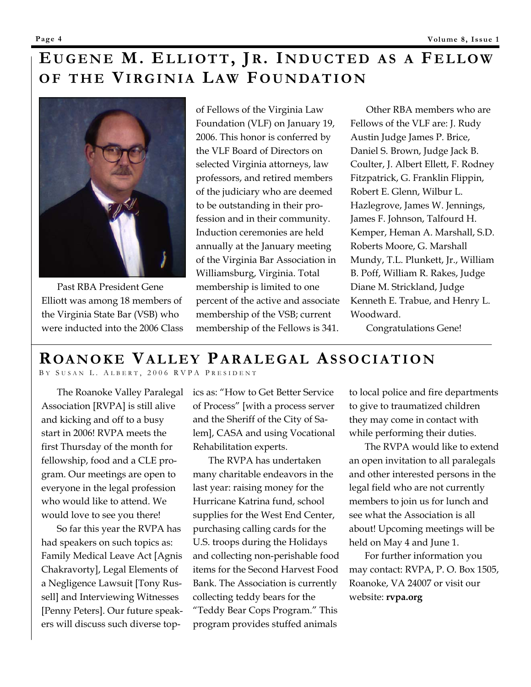# EUGENE M. ELLIOTT, JR. INDUCTED AS A FELLOW **OF THE VIRGINIA LAW FOUNDATION**



 Past RBA President Gene Elliott was among 18 members of the Virginia State Bar (VSB) who were inducted into the 2006 Class of Fellows of the Virginia Law Foundation (VLF) on January 19, 2006. This honor is conferred by the VLF Board of Directors on selected Virginia attorneys, law professors, and retired members of the judiciary who are deemed to be outstanding in their profession and in their community. Induction ceremonies are held annually at the January meeting of the Virginia Bar Association in Williamsburg, Virginia. Total membership is limited to one percent of the active and associate membership of the VSB; current membership of the Fellows is 341.

 Other RBA members who are Fellows of the VLF are: J. Rudy Austin Judge James P. Brice, Daniel S. Brown, Judge Jack B. Coulter, J. Albert Ellett, F. Rodney Fitzpatrick, G. Franklin Flippin, Robert E. Glenn, Wilbur L. Hazlegrove, James W. Jennings, James F. Johnson, Talfourd H. Kemper, Heman A. Marshall, S.D. Roberts Moore, G. Marshall Mundy, T.L. Plunkett, Jr., William B. Poff, William R. Rakes, Judge Diane M. Strickland, Judge Kenneth E. Trabue, and Henry L. Woodward.

Congratulations Gene!

## **ROANOKE VALLEY PARALEGAL ASSOCIATION**

B Y S USAN L. A LBERT , 2006 RVPA P RESIDENT

 The Roanoke Valley Paralegal Association [RVPA] is still alive and kicking and off to a busy start in 2006! RVPA meets the first Thursday of the month for fellowship, food and a CLE program. Our meetings are open to everyone in the legal profession who would like to attend. We would love to see you there!

 So far this year the RVPA has had speakers on such topics as: Family Medical Leave Act [Agnis Chakravorty], Legal Elements of a Negligence Lawsuit [Tony Russell] and Interviewing Witnesses [Penny Peters]. Our future speakers will discuss such diverse topics as: "How to Get Better Service of Process" [with a process server and the Sheriff of the City of Salem], CASA and using Vocational Rehabilitation experts.

 The RVPA has undertaken many charitable endeavors in the last year: raising money for the Hurricane Katrina fund, school supplies for the West End Center, purchasing calling cards for the U.S. troops during the Holidays and collecting non-perishable food items for the Second Harvest Food Bank. The Association is currently collecting teddy bears for the "Teddy Bear Cops Program." This program provides stuffed animals

to local police and fire departments to give to traumatized children they may come in contact with while performing their duties.

 The RVPA would like to extend an open invitation to all paralegals and other interested persons in the legal field who are not currently members to join us for lunch and see what the Association is all about! Upcoming meetings will be held on May 4 and June 1.

 For further information you may contact: RVPA, P. O. Box 1505, Roanoke, VA 24007 or visit our website: **rvpa.org**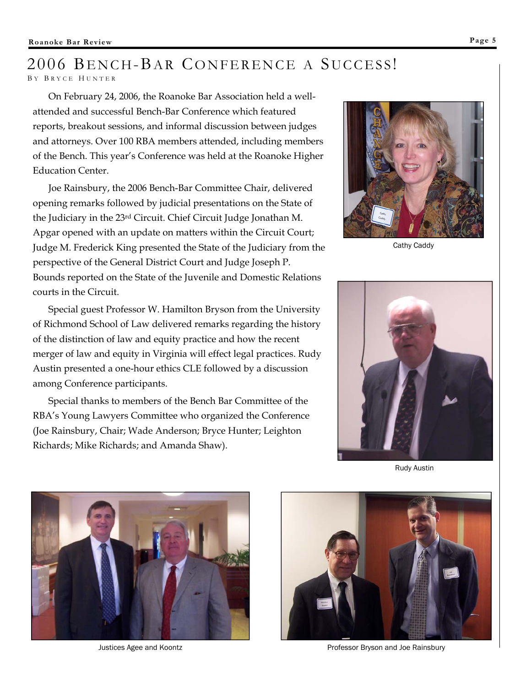## 2006 BENCH-BAR CONFERENCE A SUCCESS! B Y B RYCE H UNTER

 On February 24, 2006, the Roanoke Bar Association held a wellattended and successful Bench-Bar Conference which featured reports, breakout sessions, and informal discussion between judges and attorneys. Over 100 RBA members attended, including members of the Bench. This year's Conference was held at the Roanoke Higher Education Center.

 Joe Rainsbury, the 2006 Bench-Bar Committee Chair, delivered opening remarks followed by judicial presentations on the State of the Judiciary in the 23rd Circuit. Chief Circuit Judge Jonathan M. Apgar opened with an update on matters within the Circuit Court; Judge M. Frederick King presented the State of the Judiciary from the perspective of the General District Court and Judge Joseph P. Bounds reported on the State of the Juvenile and Domestic Relations courts in the Circuit.

 Special guest Professor W. Hamilton Bryson from the University of Richmond School of Law delivered remarks regarding the history of the distinction of law and equity practice and how the recent merger of law and equity in Virginia will effect legal practices. Rudy Austin presented a one-hour ethics CLE followed by a discussion among Conference participants.

 Special thanks to members of the Bench Bar Committee of the RBA's Young Lawyers Committee who organized the Conference (Joe Rainsbury, Chair; Wade Anderson; Bryce Hunter; Leighton Richards; Mike Richards; and Amanda Shaw).



Cathy Caddy



Rudy Austin





Justices Agee and Koontz Professor Bryson and Joe Rainsbury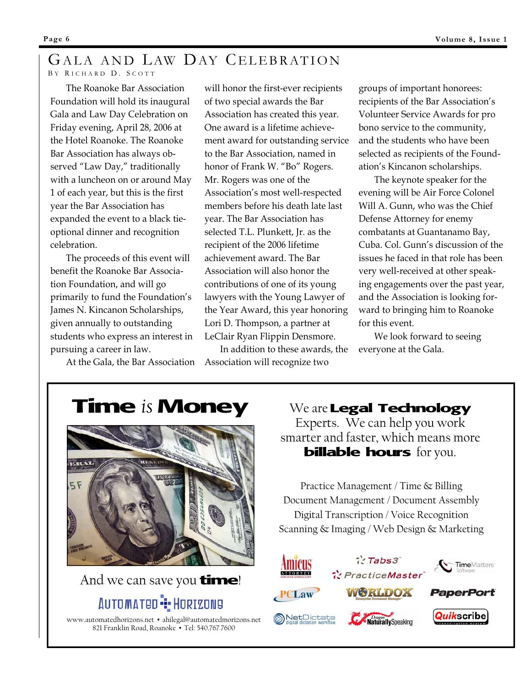# GALA AND LAW DAY CELEBRATION

### B Y R ICHARD D. S COTT

The Roanoke Bar Association Foundation will hold its inaugural Gala and Law Day Celebration on Friday evening, April 28, 2006 at the Hotel Roanoke. The Roanoke Bar Association has always observed "Law Day," traditionally with a luncheon on or around May 1 of each year, but this is the first year the Bar Association has expanded the event to a black tieoptional dinner and recognition celebration.

 The proceeds of this event will benefit the Roanoke Bar Association Foundation, and will go primarily to fund the Foundation's James N. Kincanon Scholarships, given annually to outstanding students who express an interest in pursuing a career in law.

At the Gala, the Bar Association

will honor the first-ever recipients of two special awards the Bar Association has created this year. One award is a lifetime achievement award for outstanding service to the Bar Association, named in honor of Frank W. "Bo" Rogers. Mr. Rogers was one of the Association's most well-respected members before his death late last year. The Bar Association has selected T.L. Plunkett, Jr. as the recipient of the 2006 lifetime achievement award. The Bar Association will also honor the contributions of one of its young lawyers with the Young Lawyer of the Year Award, this year honoring Lori D. Thompson, a partner at LeClair Ryan Flippin Densmore.

 In addition to these awards, the Association will recognize two

groups of important honorees: recipients of the Bar Association's Volunteer Service Awards for pro bono service to the community, and the students who have been selected as recipients of the Foundation's Kincanon scholarships.

 The keynote speaker for the evening will be Air Force Colonel Will A. Gunn, who was the Chief Defense Attorney for enemy combatants at Guantanamo Bay, Cuba. Col. Gunn's discussion of the issues he faced in that role has been very well-received at other speaking engagements over the past year, and the Association is looking forward to bringing him to Roanoke for this event.

 We look forward to seeing everyone at the Gala.





And we can save you **time**!

## AUTOMATED **"I**" HORIZON9

www.automatedhorizons.net ▪ ahilegal@automatedmorizons.net 821 Franklin Road, Roanoke ▪ Tel: 540.767.7600

We are **Legal Technology** Experts. We can help you work smarter and faster, which means more **billable hours** for you.

Practice Management / Time & Billing Document Management / Document Assembly Digital Transcription / Voice Recognition Scanning & Imaging / Web Design & Marketing

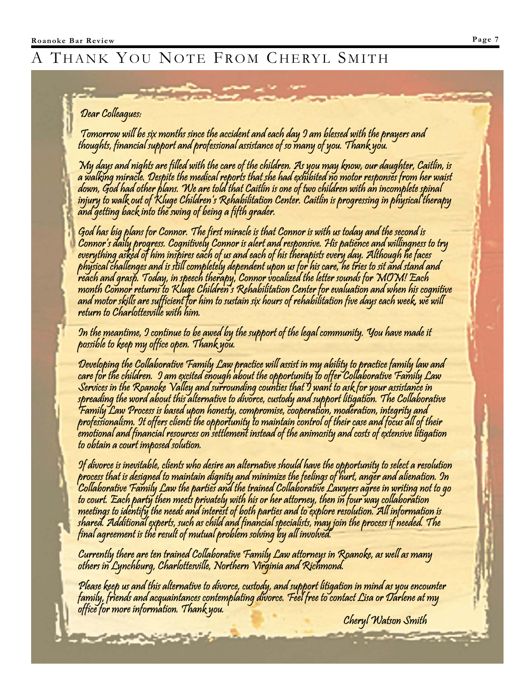# THANK YOU NOTE FROM CHERYL SMITH

### Dear Colleagues:

Tomorrow will be six months since the accident and each day I am blessed with the prayers and<br>thoughts, financial support and professional assistance of so many of you. Thank you.

"My days and nights are filled with the care of the children. As you may know, our daughter, Caitlin, is<br>a walking miracle. Despite the medical reports that she had exhibited no motor responses from her waist<br>down, God had

God has big plans for Connor. The first miracle is that Connor is with us today and the second is<br>Connor's daily progress. Cognitively Connor is alert and responsive. His patience and willingness to try<br>everything asked of month Connor returns to Kluge Children's Rehabilitation Center for evaluation and when his cognitive<br>and motor skills are sufficient for him to sustain six hours of rehabilitation five days each week, we will<br>return to Cha

In the meantime, I continue to be awed by the support of the legal community. You have made it<br>possible to keep my office open. Thank you.

Developing the Collaborative Family Law practice will assist in my ability to practice family law and<br>care for the children. 9 am excited enough about the opportunity to offer Collaborative Family Law<br>Services in the Roano

If divorce is inevitable, clients who desire an alternative should have the opportunity to select a resolution<br>process that is designed to maintain dignity and minimize the feelings of hurt, anger and alienation. In<br>Collab

Currently there are ten trained Collaborative Family Law attorneys in Roanoke, as well as many<br>others in Lynchburg, Charlottesville, Northern Virginia and Richmond.

**A CONTRACTOR** 

Please keep us and this alternative to divorce, custody, and support litigation in mind as you encounter<br>family, friends and acquaintances contemplating divorce. Feel free to contact Lisa or Darlene at my<br>office for more i

Cheryl Watson Smith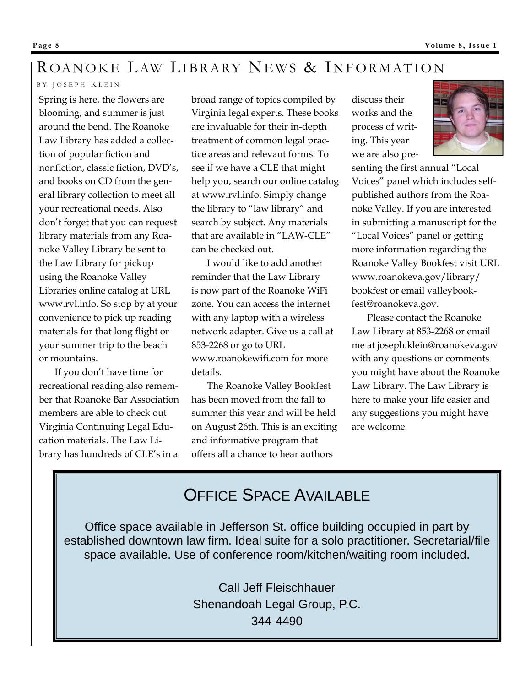# ROANOKE LAW LIBRARY NEWS & INFORMATION

### B Y J OSEPH K LEIN

Spring is here, the flowers are blooming, and summer is just around the bend. The Roanoke Law Library has added a collection of popular fiction and nonfiction, classic fiction, DVD's, and books on CD from the general library collection to meet all your recreational needs. Also don't forget that you can request library materials from any Roanoke Valley Library be sent to the Law Library for pickup using the Roanoke Valley Libraries online catalog at URL www.rvl.info. So stop by at your convenience to pick up reading materials for that long flight or your summer trip to the beach or mountains.

 If you don't have time for recreational reading also remember that Roanoke Bar Association members are able to check out Virginia Continuing Legal Education materials. The Law Library has hundreds of CLE's in a

broad range of topics compiled by Virginia legal experts. These books are invaluable for their in-depth treatment of common legal practice areas and relevant forms. To see if we have a CLE that might help you, search our online catalog at www.rvl.info. Simply change the library to "law library" and search by subject. Any materials that are available in "LAW-CLE" can be checked out.

 I would like to add another reminder that the Law Library is now part of the Roanoke WiFi zone. You can access the internet with any laptop with a wireless network adapter. Give us a call at 853-2268 or go to URL www.roanokewifi.com for more details.

 The Roanoke Valley Bookfest has been moved from the fall to summer this year and will be held on August 26th. This is an exciting and informative program that offers all a chance to hear authors

discuss their works and the process of writing. This year we are also pre-



senting the first annual "Local Voices" panel which includes selfpublished authors from the Roanoke Valley. If you are interested in submitting a manuscript for the "Local Voices" panel or getting more information regarding the Roanoke Valley Bookfest visit URL www.roanokeva.gov/library/ bookfest or email valleybookfest@roanokeva.gov.

 Please contact the Roanoke Law Library at 853-2268 or email me at joseph.klein@roanokeva.gov with any questions or comments you might have about the Roanoke Law Library. The Law Library is here to make your life easier and any suggestions you might have are welcome.

# OFFICE SPACE AVAILABLE

Office space available in Jefferson St. office building occupied in part by established downtown law firm. Ideal suite for a solo practitioner. Secretarial/file space available. Use of conference room/kitchen/waiting room included.

> Call Jeff Fleischhauer Shenandoah Legal Group, P.C. 344-4490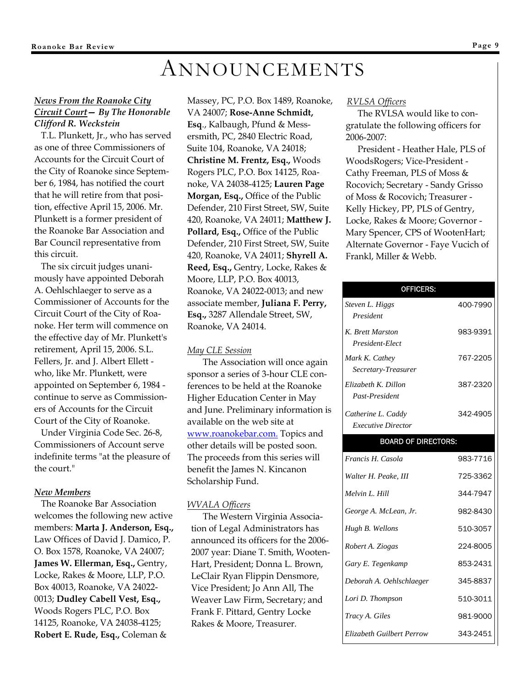# ANNOUNCEMENTS

### *News From the Roanoke City Circuit Court— By The Honorable Clifford R. Weckstein*

 T.L. Plunkett, Jr., who has served as one of three Commissioners of Accounts for the Circuit Court of the City of Roanoke since September 6, 1984, has notified the court that he will retire from that position, effective April 15, 2006. Mr. Plunkett is a former president of the Roanoke Bar Association and Bar Council representative from this circuit.

 The six circuit judges unanimously have appointed Deborah A. Oehlschlaeger to serve as a Commissioner of Accounts for the Circuit Court of the City of Roanoke. Her term will commence on the effective day of Mr. Plunkett's retirement, April 15, 2006. S.L. Fellers, Jr. and J. Albert Ellett who, like Mr. Plunkett, were appointed on September 6, 1984 continue to serve as Commissioners of Accounts for the Circuit Court of the City of Roanoke.

 Under Virginia Code Sec. 26-8, Commissioners of Account serve indefinite terms "at the pleasure of the court."

### *New Members*

 The Roanoke Bar Association welcomes the following new active members: **Marta J. Anderson, Esq.,**  Law Offices of David J. Damico, P. O. Box 1578, Roanoke, VA 24007; **James W. Ellerman, Esq.,** Gentry, Locke, Rakes & Moore, LLP, P.O. Box 40013, Roanoke, VA 24022- 0013; **Dudley Cabell Vest, Esq.,**  Woods Rogers PLC, P.O. Box 14125, Roanoke, VA 24038-4125; **Robert E. Rude, Esq.,** Coleman &

Massey, PC, P.O. Box 1489, Roanoke, VA 24007; **Rose-Anne Schmidt, Esq**., Kalbaugh, Pfund & Messersmith, PC, 2840 Electric Road, Suite 104, Roanoke, VA 24018; **Christine M. Frentz, Esq.,** Woods Rogers PLC, P.O. Box 14125, Roanoke, VA 24038-4125; **Lauren Page Morgan, Esq.,** Office of the Public Defender, 210 First Street, SW, Suite 420, Roanoke, VA 24011; **Matthew J. Pollard, Esq.,** Office of the Public Defender, 210 First Street, SW, Suite 420, Roanoke, VA 24011; **Shyrell A. Reed, Esq.,** Gentry, Locke, Rakes & Moore, LLP, P.O. Box 40013, Roanoke, VA 24022-0013; and new associate member, **Juliana F. Perry, Esq.,** 3287 Allendale Street, SW, Roanoke, VA 24014.

### *May CLE Session*

 The Association will once again sponsor a series of 3-hour CLE conferences to be held at the Roanoke Higher Education Center in May and June. Preliminary information is available on the web site at www.roanokebar.com. Topics and other details will be posted soon. The proceeds from this series will benefit the James N. Kincanon Scholarship Fund.

#### *WVALA Officers*

The Western Virginia Association of Legal Administrators has announced its officers for the 2006- 2007 year: Diane T. Smith, Wooten-Hart, President; Donna L. Brown, LeClair Ryan Flippin Densmore, Vice President; Jo Ann All, The Weaver Law Firm, Secretary; and Frank F. Pittard, Gentry Locke Rakes & Moore, Treasurer.

#### *RVLSA Officers*

The RVLSA would like to congratulate the following officers for 2006-2007:

President - Heather Hale, PLS of WoodsRogers; Vice-President - Cathy Freeman, PLS of Moss & Rocovich; Secretary - Sandy Grisso of Moss & Rocovich; Treasurer - Kelly Hickey, PP, PLS of Gentry, Locke, Rakes & Moore; Governor - Mary Spencer, CPS of WootenHart; Alternate Governor - Faye Vucich of Frankl, Miller & Webb.

| <b>OFFICERS:</b>                      |          |  |
|---------------------------------------|----------|--|
| Steven L. Higgs                       | 400-7990 |  |
| President                             |          |  |
| K. Brett Marston<br>President-Elect   | 983-9391 |  |
| Mark K. Cathey                        | 767-2205 |  |
| Secretary-Treasurer                   |          |  |
| Elizabeth K. Dillon<br>Past-President | 387-2320 |  |
| Catherine L. Caddy                    | 342-4905 |  |
| <i>Executive Director</i>             |          |  |
| <b>BOARD OF DIRECTORS:</b>            |          |  |
| Francis H. Casola                     | 983-7716 |  |
| Walter H. Peake, III                  | 725-3362 |  |
| Melvin L. Hill                        | 344-7947 |  |
| George A. McLean, Jr.                 | 982-8430 |  |
| Hugh B. Wellons                       | 510-3057 |  |
| Robert A. Ziogas                      | 224-8005 |  |
| Gary E. Tegenkamp                     | 853-2431 |  |
| Deborah A. Oehlschlaeger              | 345-8837 |  |
| Lori D. Thompson                      | 510-3011 |  |
| Tracy A. Giles                        | 981-9000 |  |
| Elizabeth Guilbert Perrow             | 343-2451 |  |
|                                       |          |  |